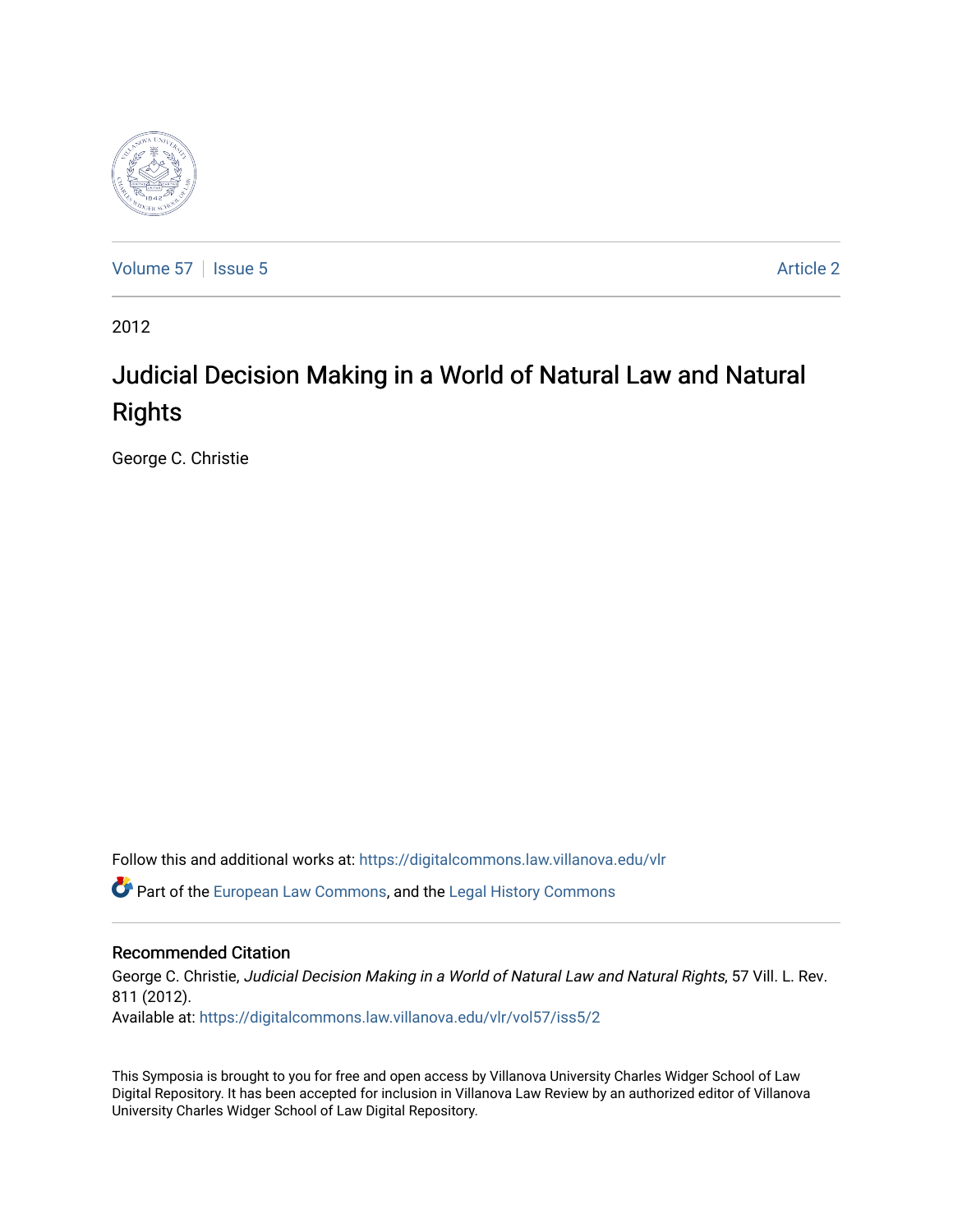

[Volume 57](https://digitalcommons.law.villanova.edu/vlr/vol57) | [Issue 5](https://digitalcommons.law.villanova.edu/vlr/vol57/iss5) Article 2

2012

# Judicial Decision Making in a World of Natural Law and Natural Rights

George C. Christie

Follow this and additional works at: [https://digitalcommons.law.villanova.edu/vlr](https://digitalcommons.law.villanova.edu/vlr?utm_source=digitalcommons.law.villanova.edu%2Fvlr%2Fvol57%2Fiss5%2F2&utm_medium=PDF&utm_campaign=PDFCoverPages)

**C** Part of the [European Law Commons,](http://network.bepress.com/hgg/discipline/1084?utm_source=digitalcommons.law.villanova.edu%2Fvlr%2Fvol57%2Fiss5%2F2&utm_medium=PDF&utm_campaign=PDFCoverPages) and the Legal History Commons

### Recommended Citation

George C. Christie, Judicial Decision Making in a World of Natural Law and Natural Rights, 57 Vill. L. Rev. 811 (2012). Available at: [https://digitalcommons.law.villanova.edu/vlr/vol57/iss5/2](https://digitalcommons.law.villanova.edu/vlr/vol57/iss5/2?utm_source=digitalcommons.law.villanova.edu%2Fvlr%2Fvol57%2Fiss5%2F2&utm_medium=PDF&utm_campaign=PDFCoverPages) 

This Symposia is brought to you for free and open access by Villanova University Charles Widger School of Law Digital Repository. It has been accepted for inclusion in Villanova Law Review by an authorized editor of Villanova University Charles Widger School of Law Digital Repository.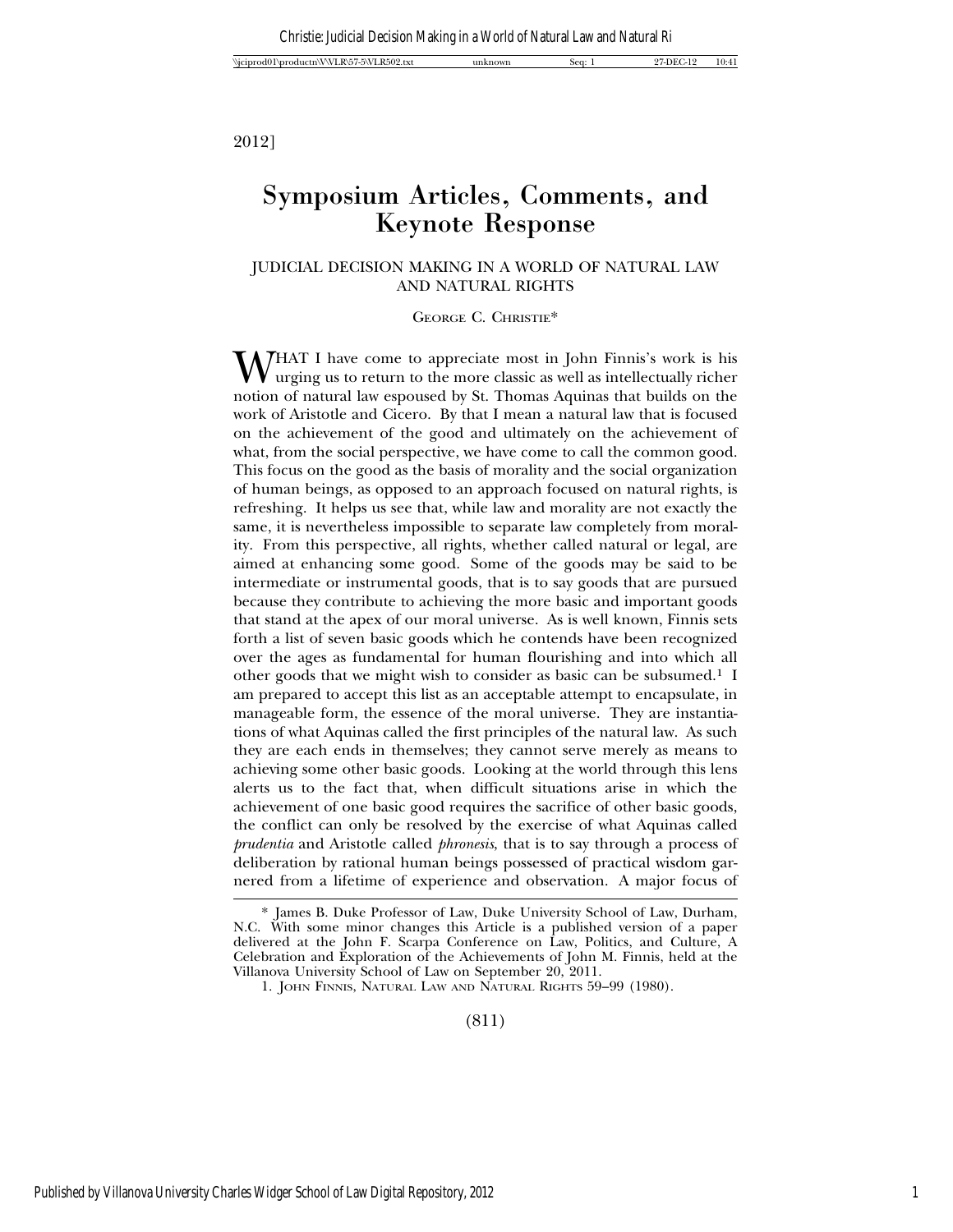2012]

## Symposium Articles, Comments, and Keynote Response

#### JUDICIAL DECISION MAKING IN A WORLD OF NATURAL LAW AND NATURAL RIGHTS

GEORGE C. CHRISTIE\*

WHAT I have come to appreciate most in John Finnis's work is his urging us to return to the more classic as well as intellectually richer notion of natural law espoused by St. Thomas Aquinas that builds on the work of Aristotle and Cicero. By that I mean a natural law that is focused on the achievement of the good and ultimately on the achievement of what, from the social perspective, we have come to call the common good. This focus on the good as the basis of morality and the social organization of human beings, as opposed to an approach focused on natural rights, is refreshing. It helps us see that, while law and morality are not exactly the same, it is nevertheless impossible to separate law completely from morality. From this perspective, all rights, whether called natural or legal, are aimed at enhancing some good. Some of the goods may be said to be intermediate or instrumental goods, that is to say goods that are pursued because they contribute to achieving the more basic and important goods that stand at the apex of our moral universe. As is well known, Finnis sets forth a list of seven basic goods which he contends have been recognized over the ages as fundamental for human flourishing and into which all other goods that we might wish to consider as basic can be subsumed.<sup>1</sup> I am prepared to accept this list as an acceptable attempt to encapsulate, in manageable form, the essence of the moral universe. They are instantiations of what Aquinas called the first principles of the natural law. As such they are each ends in themselves; they cannot serve merely as means to achieving some other basic goods. Looking at the world through this lens alerts us to the fact that, when difficult situations arise in which the achievement of one basic good requires the sacrifice of other basic goods, the conflict can only be resolved by the exercise of what Aquinas called *prudentia* and Aristotle called *phronesis*, that is to say through a process of deliberation by rational human beings possessed of practical wisdom garnered from a lifetime of experience and observation. A major focus of

(811)

<sup>\*</sup> James B. Duke Professor of Law, Duke University School of Law, Durham, N.C. With some minor changes this Article is a published version of a paper delivered at the John F. Scarpa Conference on Law, Politics, and Culture, A Celebration and Exploration of the Achievements of John M. Finnis, held at the Villanova University School of Law on September 20, 2011.

<sup>1.</sup> JOHN FINNIS, NATURAL LAW AND NATURAL RIGHTS 59–99 (1980).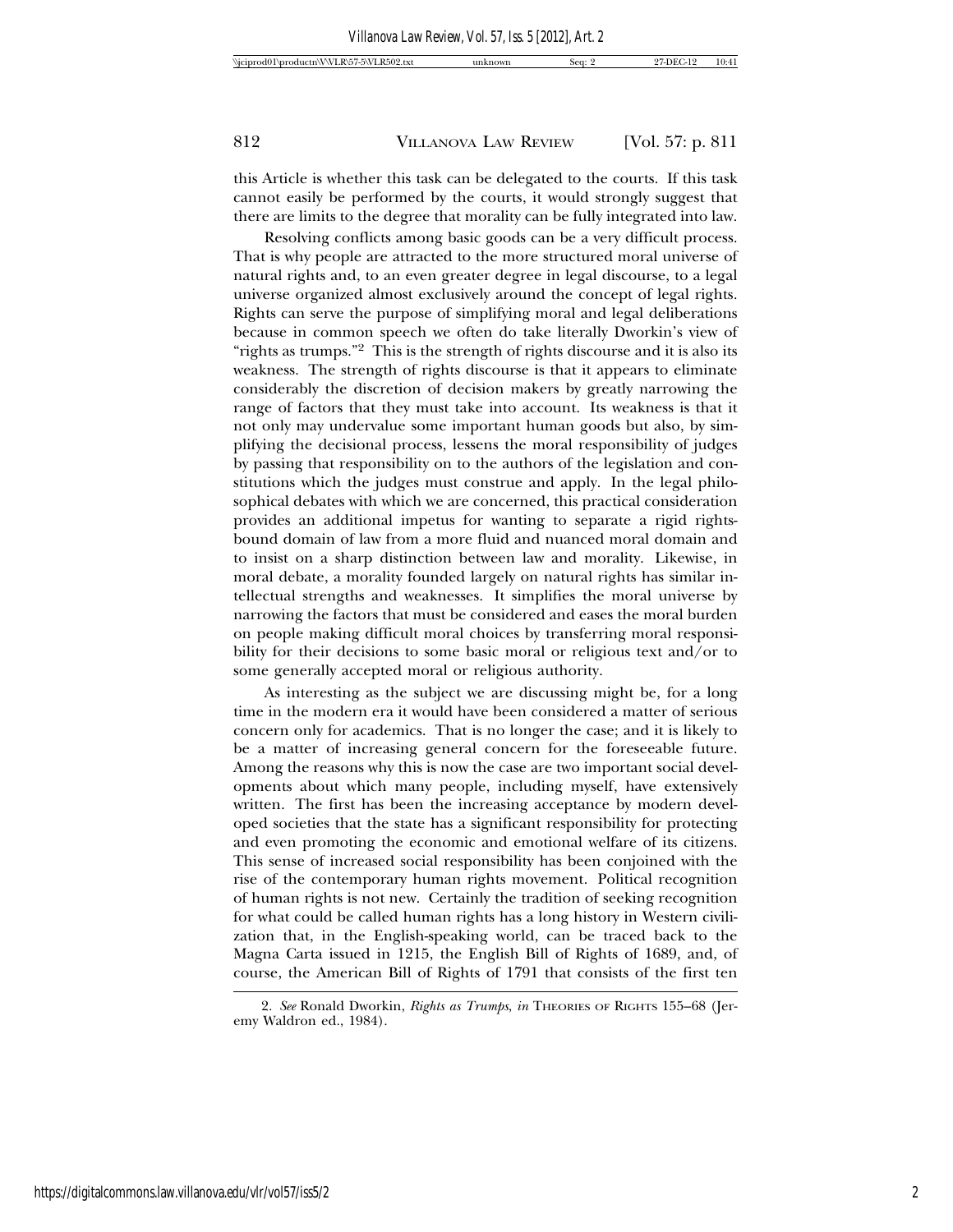this Article is whether this task can be delegated to the courts. If this task cannot easily be performed by the courts, it would strongly suggest that there are limits to the degree that morality can be fully integrated into law.

Resolving conflicts among basic goods can be a very difficult process. That is why people are attracted to the more structured moral universe of natural rights and, to an even greater degree in legal discourse, to a legal universe organized almost exclusively around the concept of legal rights. Rights can serve the purpose of simplifying moral and legal deliberations because in common speech we often do take literally Dworkin's view of "rights as trumps."<sup>2</sup> This is the strength of rights discourse and it is also its weakness. The strength of rights discourse is that it appears to eliminate considerably the discretion of decision makers by greatly narrowing the range of factors that they must take into account. Its weakness is that it not only may undervalue some important human goods but also, by simplifying the decisional process, lessens the moral responsibility of judges by passing that responsibility on to the authors of the legislation and constitutions which the judges must construe and apply. In the legal philosophical debates with which we are concerned, this practical consideration provides an additional impetus for wanting to separate a rigid rightsbound domain of law from a more fluid and nuanced moral domain and to insist on a sharp distinction between law and morality. Likewise, in moral debate, a morality founded largely on natural rights has similar intellectual strengths and weaknesses. It simplifies the moral universe by narrowing the factors that must be considered and eases the moral burden on people making difficult moral choices by transferring moral responsibility for their decisions to some basic moral or religious text and/or to some generally accepted moral or religious authority.

As interesting as the subject we are discussing might be, for a long time in the modern era it would have been considered a matter of serious concern only for academics. That is no longer the case; and it is likely to be a matter of increasing general concern for the foreseeable future. Among the reasons why this is now the case are two important social developments about which many people, including myself, have extensively written. The first has been the increasing acceptance by modern developed societies that the state has a significant responsibility for protecting and even promoting the economic and emotional welfare of its citizens. This sense of increased social responsibility has been conjoined with the rise of the contemporary human rights movement. Political recognition of human rights is not new. Certainly the tradition of seeking recognition for what could be called human rights has a long history in Western civilization that, in the English-speaking world, can be traced back to the Magna Carta issued in 1215, the English Bill of Rights of 1689, and, of course, the American Bill of Rights of 1791 that consists of the first ten

<sup>2.</sup> See Ronald Dworkin, *Rights as Trumps*, *in* THEORIES OF RIGHTS 155-68 (Jeremy Waldron ed., 1984).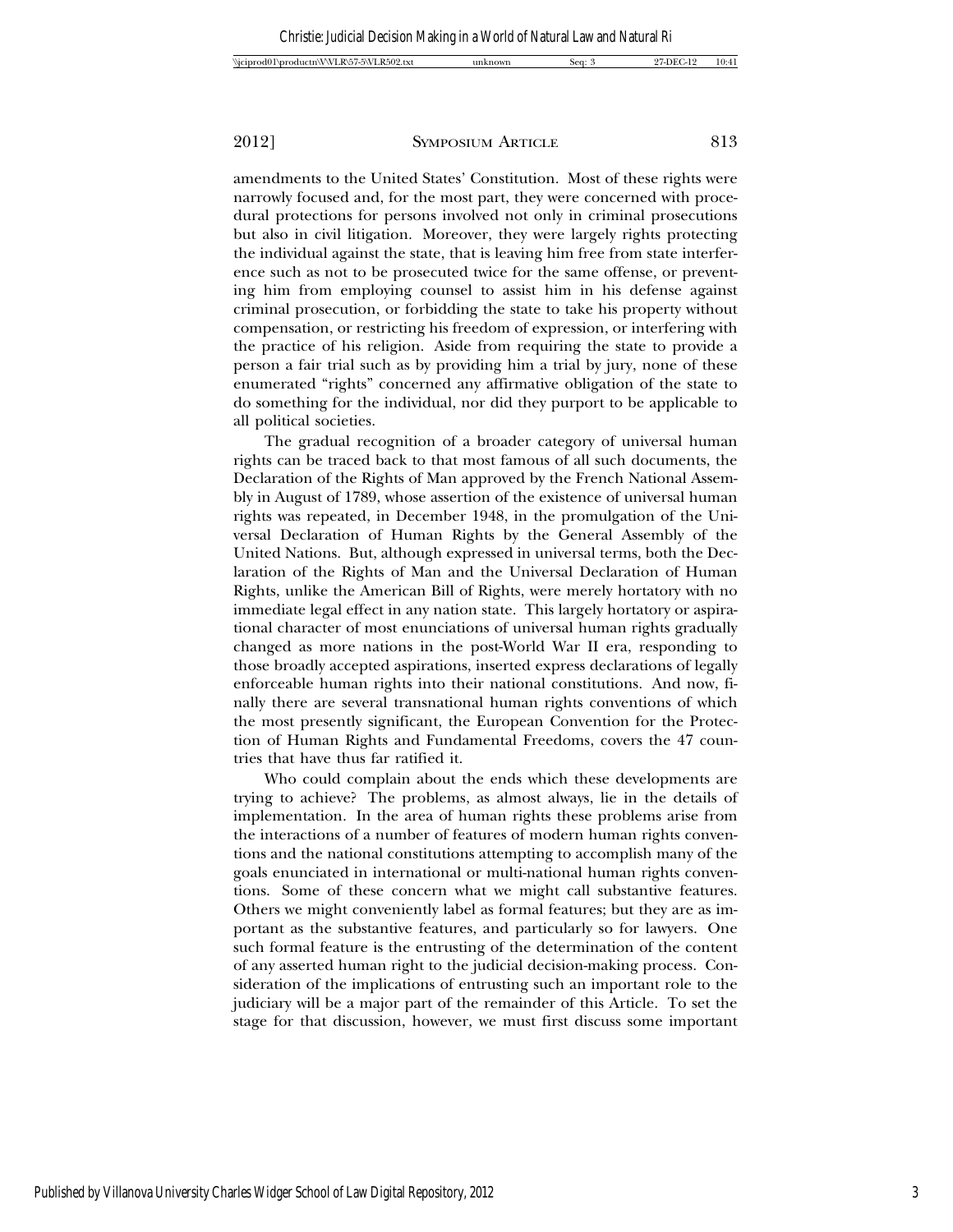amendments to the United States' Constitution. Most of these rights were narrowly focused and, for the most part, they were concerned with procedural protections for persons involved not only in criminal prosecutions but also in civil litigation. Moreover, they were largely rights protecting the individual against the state, that is leaving him free from state interference such as not to be prosecuted twice for the same offense, or preventing him from employing counsel to assist him in his defense against criminal prosecution, or forbidding the state to take his property without compensation, or restricting his freedom of expression, or interfering with the practice of his religion. Aside from requiring the state to provide a person a fair trial such as by providing him a trial by jury, none of these enumerated "rights" concerned any affirmative obligation of the state to do something for the individual, nor did they purport to be applicable to all political societies.

The gradual recognition of a broader category of universal human rights can be traced back to that most famous of all such documents, the Declaration of the Rights of Man approved by the French National Assembly in August of 1789, whose assertion of the existence of universal human rights was repeated, in December 1948, in the promulgation of the Universal Declaration of Human Rights by the General Assembly of the United Nations. But, although expressed in universal terms, both the Declaration of the Rights of Man and the Universal Declaration of Human Rights, unlike the American Bill of Rights, were merely hortatory with no immediate legal effect in any nation state. This largely hortatory or aspirational character of most enunciations of universal human rights gradually changed as more nations in the post-World War II era, responding to those broadly accepted aspirations, inserted express declarations of legally enforceable human rights into their national constitutions. And now, finally there are several transnational human rights conventions of which the most presently significant, the European Convention for the Protection of Human Rights and Fundamental Freedoms, covers the 47 countries that have thus far ratified it.

Who could complain about the ends which these developments are trying to achieve? The problems, as almost always, lie in the details of implementation. In the area of human rights these problems arise from the interactions of a number of features of modern human rights conventions and the national constitutions attempting to accomplish many of the goals enunciated in international or multi-national human rights conventions. Some of these concern what we might call substantive features. Others we might conveniently label as formal features; but they are as important as the substantive features, and particularly so for lawyers. One such formal feature is the entrusting of the determination of the content of any asserted human right to the judicial decision-making process. Consideration of the implications of entrusting such an important role to the judiciary will be a major part of the remainder of this Article. To set the stage for that discussion, however, we must first discuss some important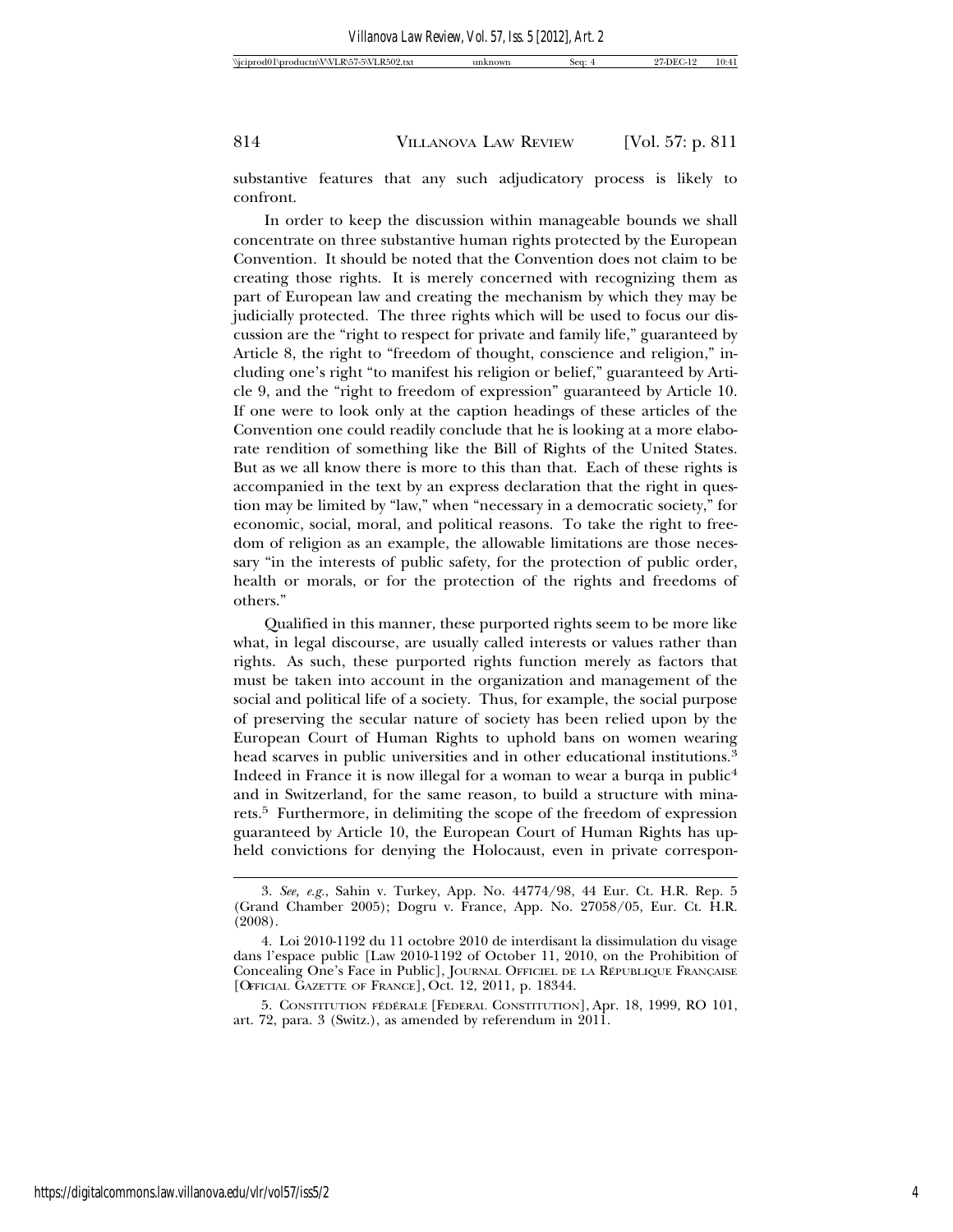substantive features that any such adjudicatory process is likely to confront.

In order to keep the discussion within manageable bounds we shall concentrate on three substantive human rights protected by the European Convention. It should be noted that the Convention does not claim to be creating those rights. It is merely concerned with recognizing them as part of European law and creating the mechanism by which they may be judicially protected. The three rights which will be used to focus our discussion are the "right to respect for private and family life," guaranteed by Article 8, the right to "freedom of thought, conscience and religion," including one's right "to manifest his religion or belief," guaranteed by Article 9, and the "right to freedom of expression" guaranteed by Article 10. If one were to look only at the caption headings of these articles of the Convention one could readily conclude that he is looking at a more elaborate rendition of something like the Bill of Rights of the United States. But as we all know there is more to this than that. Each of these rights is accompanied in the text by an express declaration that the right in question may be limited by "law," when "necessary in a democratic society," for economic, social, moral, and political reasons. To take the right to freedom of religion as an example, the allowable limitations are those necessary "in the interests of public safety, for the protection of public order, health or morals, or for the protection of the rights and freedoms of others."

Qualified in this manner, these purported rights seem to be more like what, in legal discourse, are usually called interests or values rather than rights. As such, these purported rights function merely as factors that must be taken into account in the organization and management of the social and political life of a society. Thus, for example, the social purpose of preserving the secular nature of society has been relied upon by the European Court of Human Rights to uphold bans on women wearing head scarves in public universities and in other educational institutions.<sup>3</sup> Indeed in France it is now illegal for a woman to wear a burqa in public<sup>4</sup> and in Switzerland, for the same reason, to build a structure with minarets.5 Furthermore, in delimiting the scope of the freedom of expression guaranteed by Article 10, the European Court of Human Rights has upheld convictions for denying the Holocaust, even in private correspon-

<sup>3.</sup> *See, e.g.*, Sahin v. Turkey, App. No. 44774/98, 44 Eur. Ct. H.R. Rep. 5 (Grand Chamber 2005); Dogru v. France, App. No. 27058/05, Eur. Ct. H.R. (2008).

<sup>4.</sup> Loi 2010-1192 du 11 octobre 2010 de interdisant la dissimulation du visage dans l'espace public [Law 2010-1192 of October 11, 2010, on the Prohibition of Concealing One's Face in Public], JOURNAL OFFICIEL DE LA RÉPUBLIQUE FRANÇAISE [OFFICIAL GAZETTE OF FRANCE], Oct. 12, 2011, p. 18344.

<sup>5.</sup> CONSTITUTION FÉDÉRALE [FEDERAL CONSTITUTION], Apr. 18, 1999, RO 101, art. 72, para. 3 (Switz.), as amended by referendum in 2011.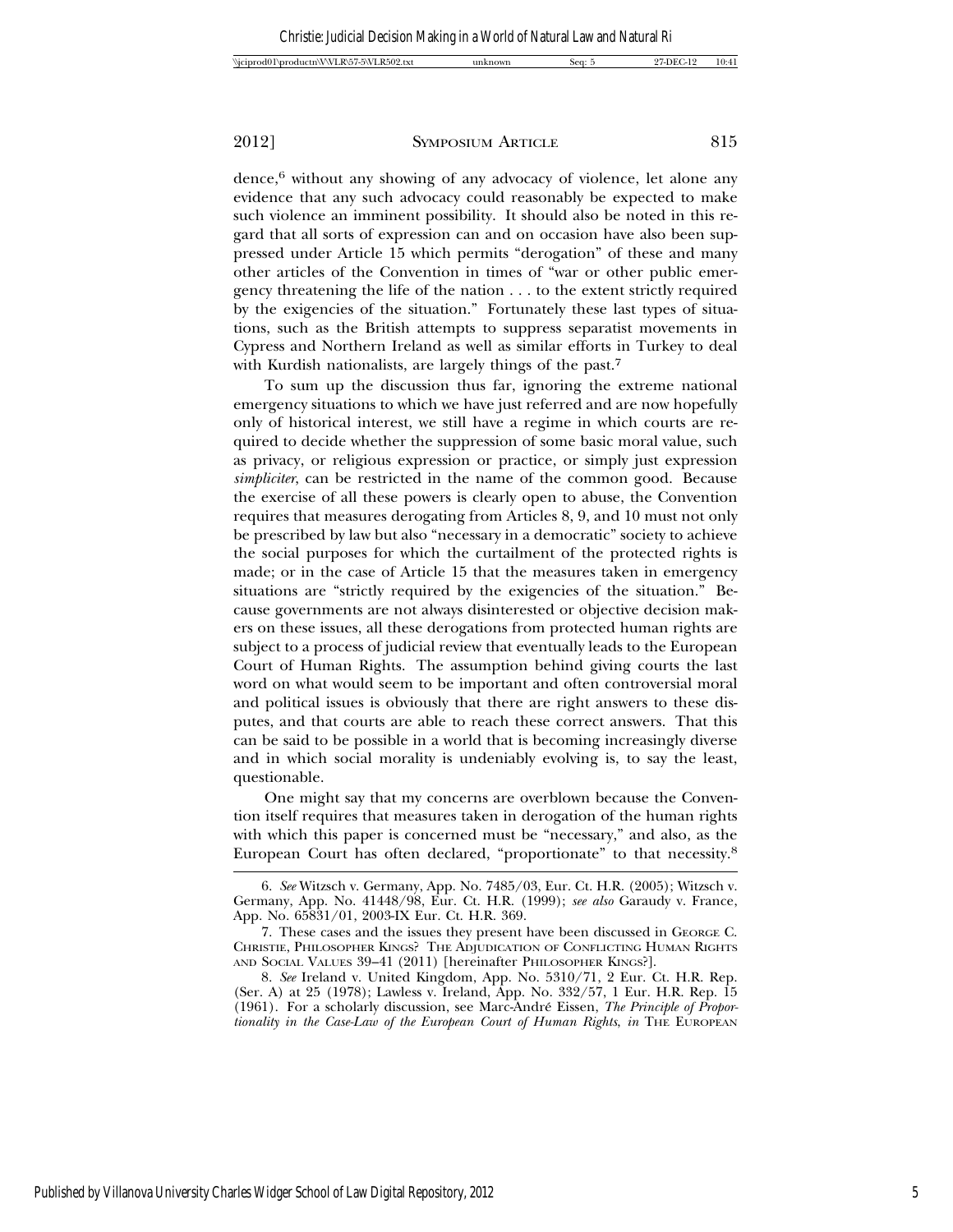$\alpha$  dence,<sup>6</sup> without any showing of any advocacy of violence, let alone any evidence that any such advocacy could reasonably be expected to make such violence an imminent possibility. It should also be noted in this regard that all sorts of expression can and on occasion have also been suppressed under Article 15 which permits "derogation" of these and many other articles of the Convention in times of "war or other public emergency threatening the life of the nation . . . to the extent strictly required by the exigencies of the situation." Fortunately these last types of situations, such as the British attempts to suppress separatist movements in Cypress and Northern Ireland as well as similar efforts in Turkey to deal with Kurdish nationalists, are largely things of the past.<sup>7</sup>

To sum up the discussion thus far, ignoring the extreme national emergency situations to which we have just referred and are now hopefully only of historical interest, we still have a regime in which courts are required to decide whether the suppression of some basic moral value, such as privacy, or religious expression or practice, or simply just expression *simpliciter*, can be restricted in the name of the common good. Because the exercise of all these powers is clearly open to abuse, the Convention requires that measures derogating from Articles 8, 9, and 10 must not only be prescribed by law but also "necessary in a democratic" society to achieve the social purposes for which the curtailment of the protected rights is made; or in the case of Article 15 that the measures taken in emergency situations are "strictly required by the exigencies of the situation." Because governments are not always disinterested or objective decision makers on these issues, all these derogations from protected human rights are subject to a process of judicial review that eventually leads to the European Court of Human Rights. The assumption behind giving courts the last word on what would seem to be important and often controversial moral and political issues is obviously that there are right answers to these disputes, and that courts are able to reach these correct answers. That this can be said to be possible in a world that is becoming increasingly diverse and in which social morality is undeniably evolving is, to say the least, questionable.

One might say that my concerns are overblown because the Convention itself requires that measures taken in derogation of the human rights with which this paper is concerned must be "necessary," and also, as the European Court has often declared, "proportionate" to that necessity.8

<sup>6.</sup> *See* Witzsch v. Germany, App. No. 7485/03, Eur. Ct. H.R. (2005); Witzsch v. Germany, App. No. 41448/98, Eur. Ct. H.R. (1999); *see also* Garaudy v. France, App. No. 65831/01, 2003-IX Eur. Ct. H.R. 369.

<sup>7.</sup> These cases and the issues they present have been discussed in GEORGE C. CHRISTIE, PHILOSOPHER KINGS? THE ADJUDICATION OF CONFLICTING HUMAN RIGHTS AND SOCIAL VALUES 39–41 (2011) [hereinafter PHILOSOPHER KINGS?].

<sup>8.</sup> *See* Ireland v. United Kingdom, App. No. 5310/71, 2 Eur. Ct. H.R. Rep. (Ser. A) at 25 (1978); Lawless v. Ireland, App. No. 332/57, 1 Eur. H.R. Rep. 15 (1961). For a scholarly discussion, see Marc-Andre Eissen, ´ *The Principle of Proportionality in the Case-Law of the European Court of Human Rights*, *in* THE EUROPEAN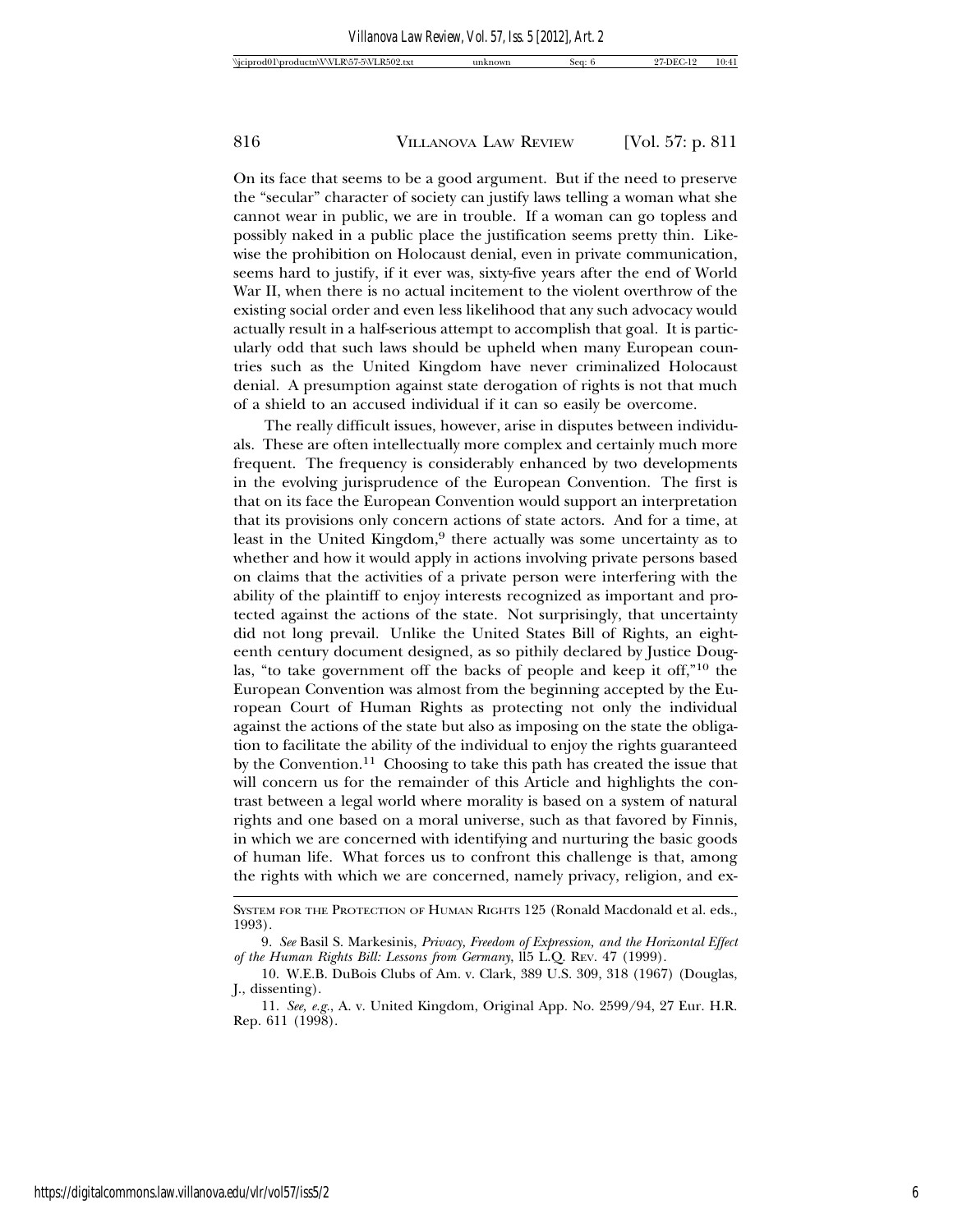On its face that seems to be a good argument. But if the need to preserve the "secular" character of society can justify laws telling a woman what she cannot wear in public, we are in trouble. If a woman can go topless and possibly naked in a public place the justification seems pretty thin. Likewise the prohibition on Holocaust denial, even in private communication, seems hard to justify, if it ever was, sixty-five years after the end of World War II, when there is no actual incitement to the violent overthrow of the existing social order and even less likelihood that any such advocacy would actually result in a half-serious attempt to accomplish that goal. It is particularly odd that such laws should be upheld when many European countries such as the United Kingdom have never criminalized Holocaust denial. A presumption against state derogation of rights is not that much of a shield to an accused individual if it can so easily be overcome.

The really difficult issues, however, arise in disputes between individuals. These are often intellectually more complex and certainly much more frequent. The frequency is considerably enhanced by two developments in the evolving jurisprudence of the European Convention. The first is that on its face the European Convention would support an interpretation that its provisions only concern actions of state actors. And for a time, at least in the United Kingdom,<sup>9</sup> there actually was some uncertainty as to whether and how it would apply in actions involving private persons based on claims that the activities of a private person were interfering with the ability of the plaintiff to enjoy interests recognized as important and protected against the actions of the state. Not surprisingly, that uncertainty did not long prevail. Unlike the United States Bill of Rights, an eighteenth century document designed, as so pithily declared by Justice Douglas, "to take government off the backs of people and keep it off,"10 the European Convention was almost from the beginning accepted by the European Court of Human Rights as protecting not only the individual against the actions of the state but also as imposing on the state the obligation to facilitate the ability of the individual to enjoy the rights guaranteed by the Convention.<sup>11</sup> Choosing to take this path has created the issue that will concern us for the remainder of this Article and highlights the contrast between a legal world where morality is based on a system of natural rights and one based on a moral universe, such as that favored by Finnis, in which we are concerned with identifying and nurturing the basic goods of human life. What forces us to confront this challenge is that, among the rights with which we are concerned, namely privacy, religion, and ex-

SYSTEM FOR THE PROTECTION OF HUMAN RIGHTS 125 (Ronald Macdonald et al. eds., 1993).

<sup>9.</sup> *See* Basil S. Markesinis, *Privacy, Freedom of Expression, and the Horizontal Effect of the Human Rights Bill: Lessons from Germany*, ll5 L.Q. REV. 47 (1999).

<sup>10.</sup> W.E.B. DuBois Clubs of Am. v. Clark, 389 U.S. 309, 318 (1967) (Douglas, J., dissenting).

<sup>11.</sup> *See, e.g.*, A. v. United Kingdom, Original App. No. 2599/94, 27 Eur. H.R. Rep. 611 (1998).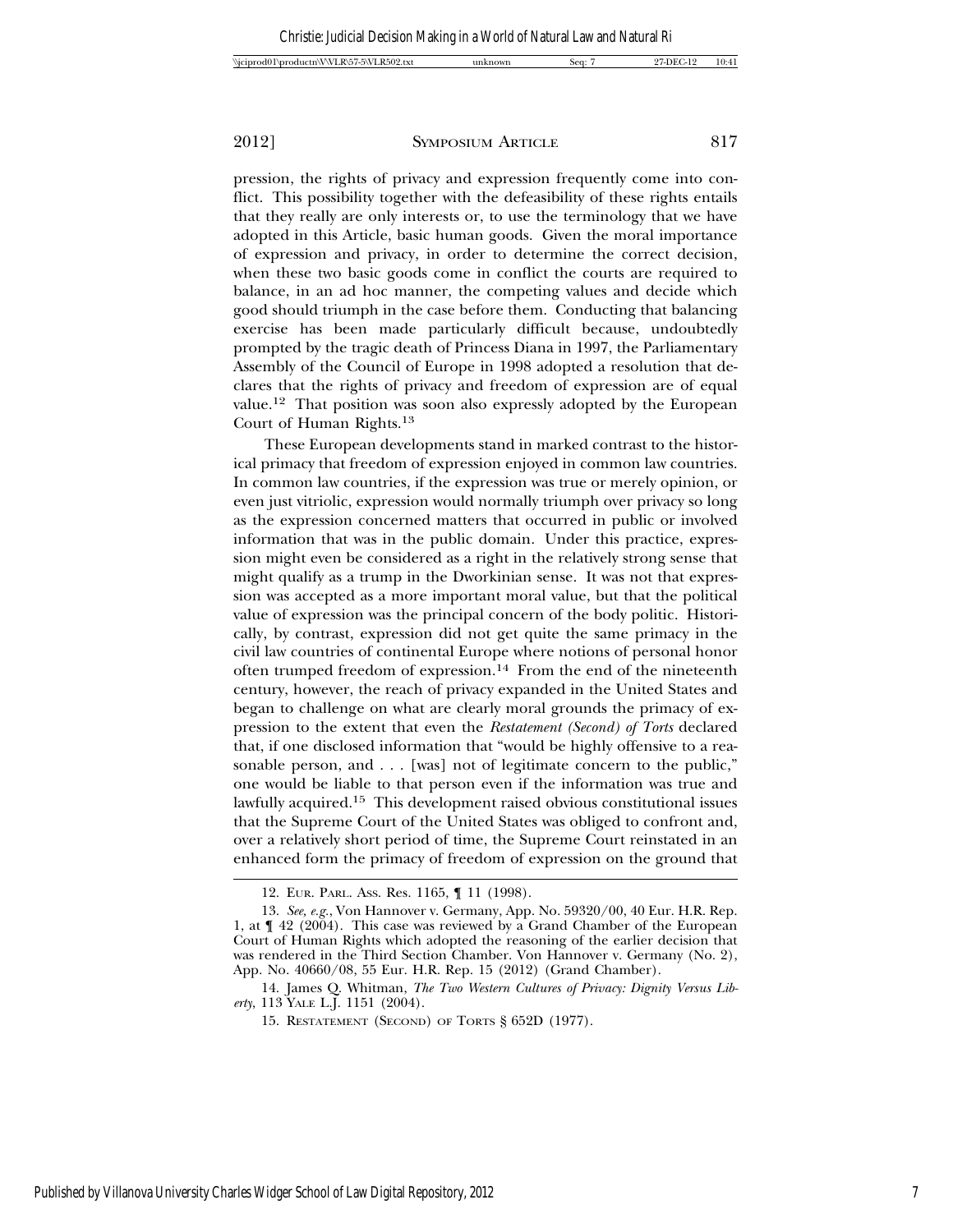pression, the rights of privacy and expression frequently come into conflict. This possibility together with the defeasibility of these rights entails that they really are only interests or, to use the terminology that we have adopted in this Article, basic human goods. Given the moral importance of expression and privacy, in order to determine the correct decision, when these two basic goods come in conflict the courts are required to balance, in an ad hoc manner, the competing values and decide which good should triumph in the case before them. Conducting that balancing exercise has been made particularly difficult because, undoubtedly prompted by the tragic death of Princess Diana in 1997, the Parliamentary Assembly of the Council of Europe in 1998 adopted a resolution that declares that the rights of privacy and freedom of expression are of equal value.12 That position was soon also expressly adopted by the European Court of Human Rights.13

These European developments stand in marked contrast to the historical primacy that freedom of expression enjoyed in common law countries. In common law countries, if the expression was true or merely opinion, or even just vitriolic, expression would normally triumph over privacy so long as the expression concerned matters that occurred in public or involved information that was in the public domain. Under this practice, expression might even be considered as a right in the relatively strong sense that might qualify as a trump in the Dworkinian sense. It was not that expression was accepted as a more important moral value, but that the political value of expression was the principal concern of the body politic. Historically, by contrast, expression did not get quite the same primacy in the civil law countries of continental Europe where notions of personal honor often trumped freedom of expression.14 From the end of the nineteenth century, however, the reach of privacy expanded in the United States and began to challenge on what are clearly moral grounds the primacy of expression to the extent that even the *Restatement (Second) of Torts* declared that, if one disclosed information that "would be highly offensive to a reasonable person, and . . . [was] not of legitimate concern to the public," one would be liable to that person even if the information was true and lawfully acquired.15 This development raised obvious constitutional issues that the Supreme Court of the United States was obliged to confront and, over a relatively short period of time, the Supreme Court reinstated in an enhanced form the primacy of freedom of expression on the ground that

14. James Q. Whitman, *The Two Western Cultures of Privacy: Dignity Versus Liberty*, 113 YALE L.J. 1151 (2004).

<sup>12.</sup> EUR. PARL. ASS. Res. 1165, ¶ 11 (1998).

<sup>13.</sup> *See, e.g.*, Von Hannover v. Germany, App. No. 59320/00, 40 Eur. H.R. Rep. 1, at ¶ 42 (2004). This case was reviewed by a Grand Chamber of the European Court of Human Rights which adopted the reasoning of the earlier decision that was rendered in the Third Section Chamber. Von Hannover v. Germany (No. 2), App. No. 40660/08, 55 Eur. H.R. Rep. 15 (2012) (Grand Chamber).

<sup>15.</sup> RESTATEMENT (SECOND) OF TORTS § 652D (1977).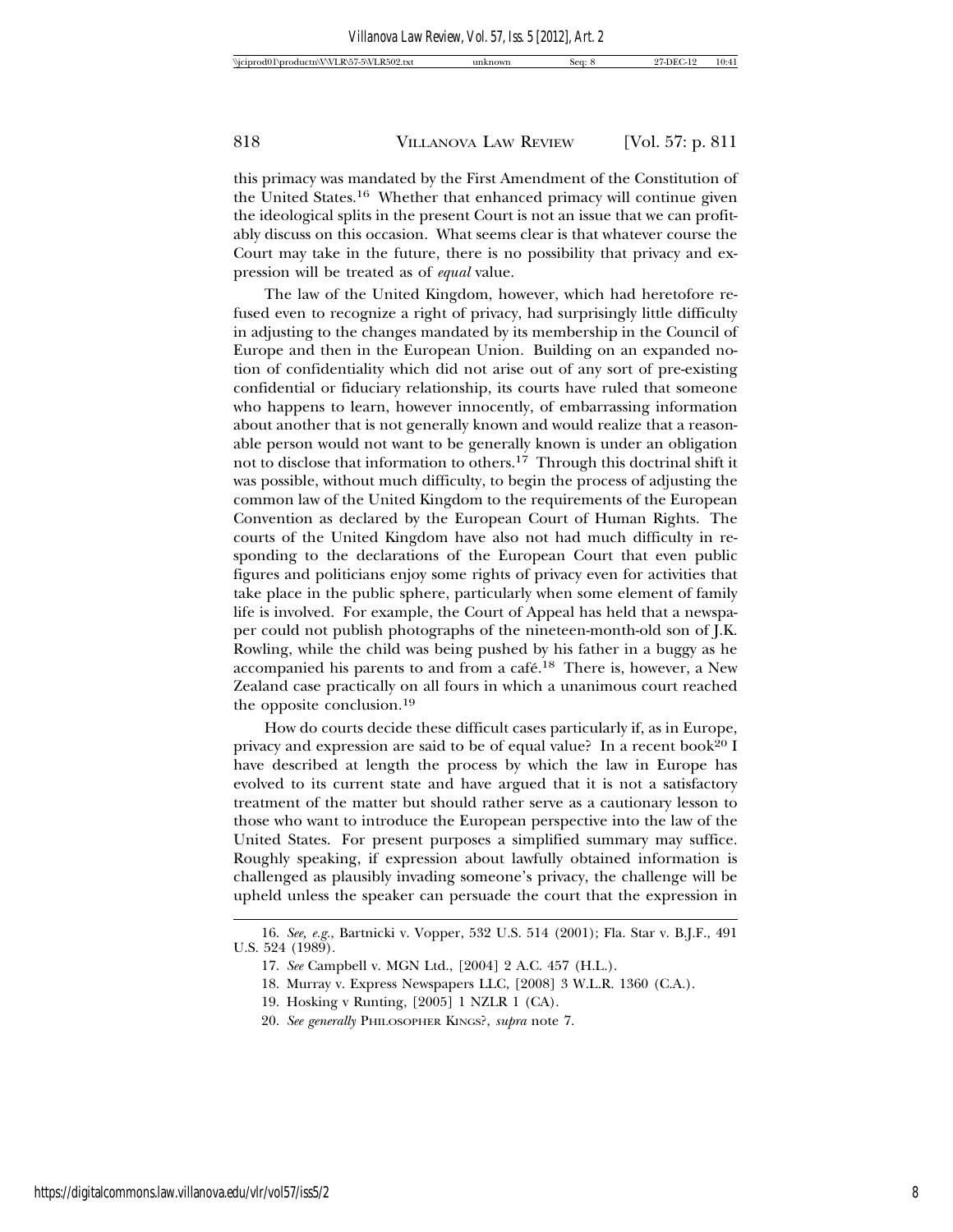this primacy was mandated by the First Amendment of the Constitution of the United States.16 Whether that enhanced primacy will continue given the ideological splits in the present Court is not an issue that we can profitably discuss on this occasion. What seems clear is that whatever course the Court may take in the future, there is no possibility that privacy and expression will be treated as of *equal* value.

The law of the United Kingdom, however, which had heretofore refused even to recognize a right of privacy, had surprisingly little difficulty in adjusting to the changes mandated by its membership in the Council of Europe and then in the European Union. Building on an expanded notion of confidentiality which did not arise out of any sort of pre-existing confidential or fiduciary relationship, its courts have ruled that someone who happens to learn, however innocently, of embarrassing information about another that is not generally known and would realize that a reasonable person would not want to be generally known is under an obligation not to disclose that information to others.17 Through this doctrinal shift it was possible, without much difficulty, to begin the process of adjusting the common law of the United Kingdom to the requirements of the European Convention as declared by the European Court of Human Rights. The courts of the United Kingdom have also not had much difficulty in responding to the declarations of the European Court that even public figures and politicians enjoy some rights of privacy even for activities that take place in the public sphere, particularly when some element of family life is involved. For example, the Court of Appeal has held that a newspaper could not publish photographs of the nineteen-month-old son of J.K. Rowling, while the child was being pushed by his father in a buggy as he accompanied his parents to and from a café.<sup>18</sup> There is, however, a New Zealand case practically on all fours in which a unanimous court reached the opposite conclusion.19

How do courts decide these difficult cases particularly if, as in Europe, privacy and expression are said to be of equal value? In a recent book<sup>20</sup> I have described at length the process by which the law in Europe has evolved to its current state and have argued that it is not a satisfactory treatment of the matter but should rather serve as a cautionary lesson to those who want to introduce the European perspective into the law of the United States. For present purposes a simplified summary may suffice. Roughly speaking, if expression about lawfully obtained information is challenged as plausibly invading someone's privacy, the challenge will be upheld unless the speaker can persuade the court that the expression in

<sup>16.</sup> *See, e.g.*, Bartnicki v. Vopper, 532 U.S. 514 (2001); Fla. Star v. B.J.F., 491 U.S. 524 (1989).

<sup>17.</sup> *See* Campbell v. MGN Ltd., [2004] 2 A.C. 457 (H.L.).

<sup>18.</sup> Murray v. Express Newspapers LLC, [2008] 3 W.L.R. 1360 (C.A.).

<sup>19.</sup> Hosking v Runting, [2005] 1 NZLR 1 (CA).

<sup>20.</sup> *See generally* PHILOSOPHER KINGS?, *supra* note 7.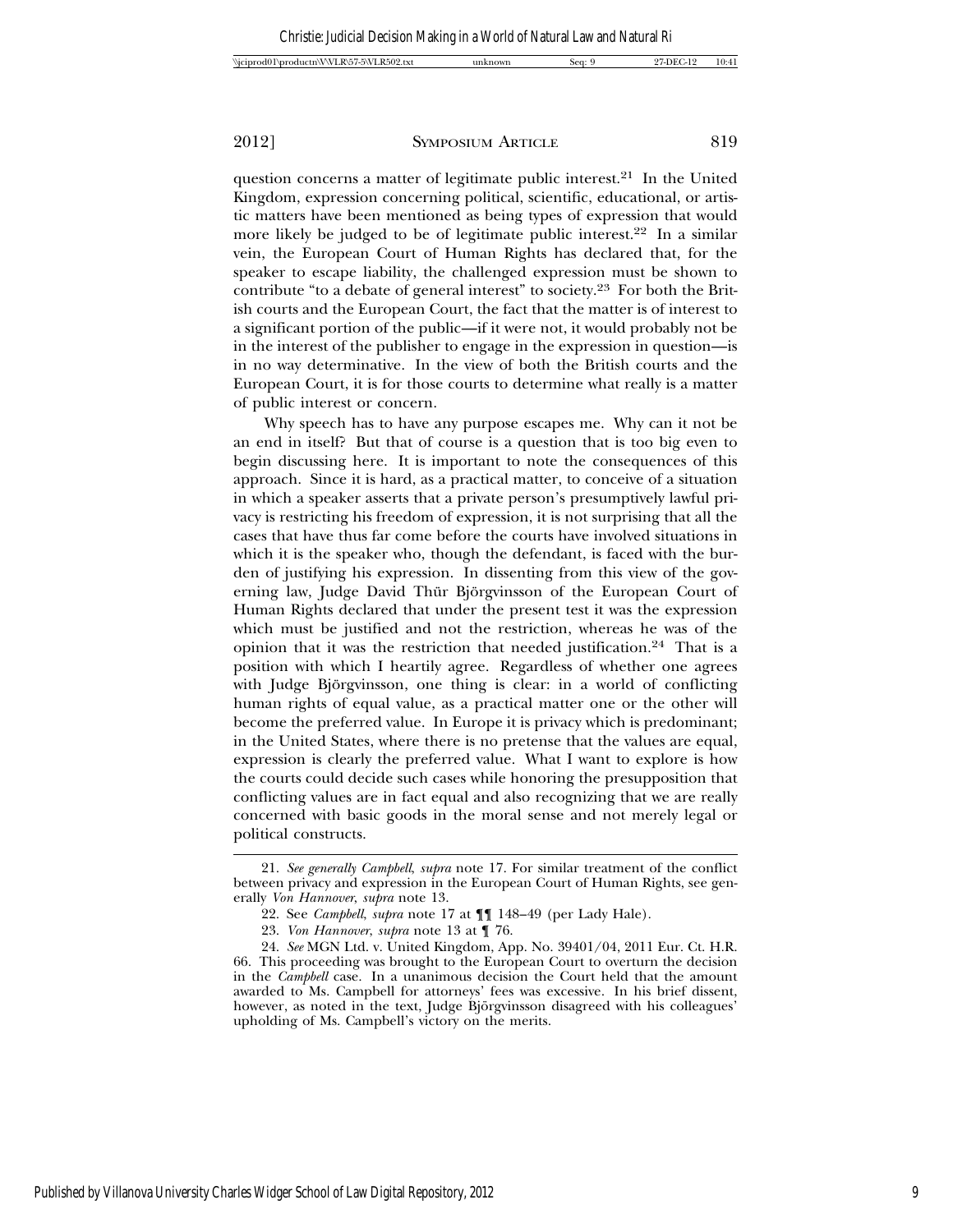question concerns a matter of legitimate public interest.21 In the United Kingdom, expression concerning political, scientific, educational, or artistic matters have been mentioned as being types of expression that would more likely be judged to be of legitimate public interest.<sup>22</sup> In a similar vein, the European Court of Human Rights has declared that, for the speaker to escape liability, the challenged expression must be shown to contribute "to a debate of general interest" to society.23 For both the British courts and the European Court, the fact that the matter is of interest to a significant portion of the public—if it were not, it would probably not be in the interest of the publisher to engage in the expression in question—is in no way determinative. In the view of both the British courts and the European Court, it is for those courts to determine what really is a matter of public interest or concern.

Why speech has to have any purpose escapes me. Why can it not be an end in itself? But that of course is a question that is too big even to begin discussing here. It is important to note the consequences of this approach. Since it is hard, as a practical matter, to conceive of a situation in which a speaker asserts that a private person's presumptively lawful privacy is restricting his freedom of expression, it is not surprising that all the cases that have thus far come before the courts have involved situations in which it is the speaker who, though the defendant, is faced with the burden of justifying his expression. In dissenting from this view of the governing law, Judge David Thür Björgvinsson of the European Court of Human Rights declared that under the present test it was the expression which must be justified and not the restriction, whereas he was of the opinion that it was the restriction that needed justification.24 That is a position with which I heartily agree. Regardless of whether one agrees with Judge Björgvinsson, one thing is clear: in a world of conflicting human rights of equal value, as a practical matter one or the other will become the preferred value. In Europe it is privacy which is predominant; in the United States, where there is no pretense that the values are equal, expression is clearly the preferred value. What I want to explore is how the courts could decide such cases while honoring the presupposition that conflicting values are in fact equal and also recognizing that we are really concerned with basic goods in the moral sense and not merely legal or political constructs.

<sup>21.</sup> *See generally Campbell*, *supra* note 17. For similar treatment of the conflict between privacy and expression in the European Court of Human Rights, see generally *Von Hannover*, *supra* note 13.

<sup>22.</sup> See *Campbell*, *supra* note 17 at ¶¶ 148–49 (per Lady Hale).

<sup>23.</sup> *Von Hannover*, *supra* note 13 at ¶ 76.

<sup>24.</sup> *See* MGN Ltd. v. United Kingdom, App. No. 39401/04, 2011 Eur. Ct. H.R. 66. This proceeding was brought to the European Court to overturn the decision in the *Campbell* case. In a unanimous decision the Court held that the amount awarded to Ms. Campbell for attorneys' fees was excessive. In his brief dissent, however, as noted in the text, Judge Björgvinsson disagreed with his colleagues' upholding of Ms. Campbell's victory on the merits.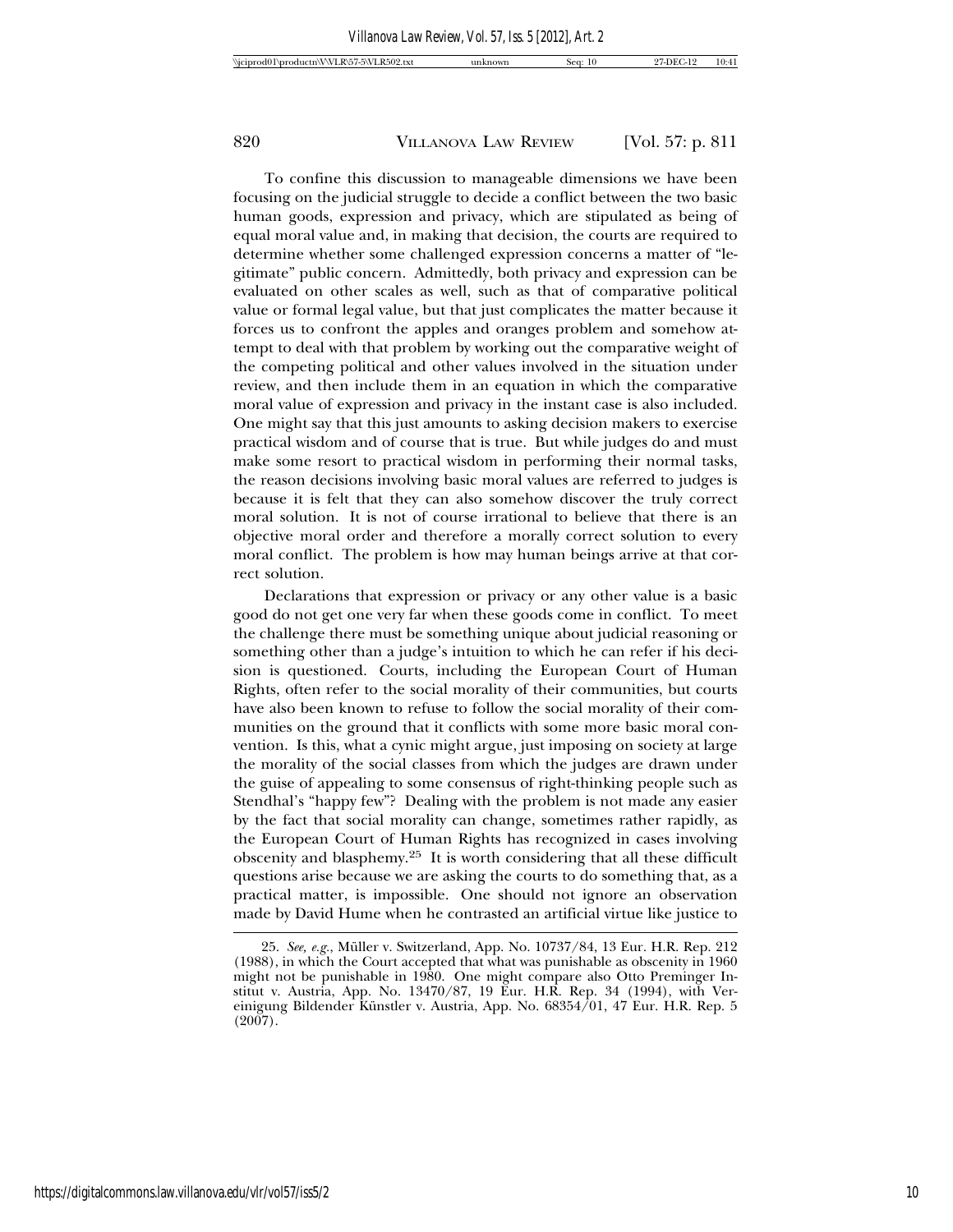To confine this discussion to manageable dimensions we have been focusing on the judicial struggle to decide a conflict between the two basic human goods, expression and privacy, which are stipulated as being of equal moral value and, in making that decision, the courts are required to determine whether some challenged expression concerns a matter of "legitimate" public concern. Admittedly, both privacy and expression can be evaluated on other scales as well, such as that of comparative political value or formal legal value, but that just complicates the matter because it forces us to confront the apples and oranges problem and somehow attempt to deal with that problem by working out the comparative weight of the competing political and other values involved in the situation under review, and then include them in an equation in which the comparative moral value of expression and privacy in the instant case is also included. One might say that this just amounts to asking decision makers to exercise practical wisdom and of course that is true. But while judges do and must make some resort to practical wisdom in performing their normal tasks, the reason decisions involving basic moral values are referred to judges is because it is felt that they can also somehow discover the truly correct moral solution. It is not of course irrational to believe that there is an objective moral order and therefore a morally correct solution to every moral conflict. The problem is how may human beings arrive at that correct solution.

Declarations that expression or privacy or any other value is a basic good do not get one very far when these goods come in conflict. To meet the challenge there must be something unique about judicial reasoning or something other than a judge's intuition to which he can refer if his decision is questioned. Courts, including the European Court of Human Rights, often refer to the social morality of their communities, but courts have also been known to refuse to follow the social morality of their communities on the ground that it conflicts with some more basic moral convention. Is this, what a cynic might argue, just imposing on society at large the morality of the social classes from which the judges are drawn under the guise of appealing to some consensus of right-thinking people such as Stendhal's "happy few"? Dealing with the problem is not made any easier by the fact that social morality can change, sometimes rather rapidly, as the European Court of Human Rights has recognized in cases involving obscenity and blasphemy.25 It is worth considering that all these difficult questions arise because we are asking the courts to do something that, as a practical matter, is impossible. One should not ignore an observation made by David Hume when he contrasted an artificial virtue like justice to

<sup>25.</sup> *See, e.g.*, Muller v. Switzerland, App. No. 10737/84, 13 Eur. H.R. Rep. 212 ¨ (1988), in which the Court accepted that what was punishable as obscenity in 1960 might not be punishable in 1980. One might compare also Otto Preminger Institut v. Austria, App. No. 13470/87, 19 Eur. H.R. Rep. 34 (1994), with Vereinigung Bildender Künstler v. Austria, App. No. 68354/01, 47 Eur. H.R. Rep. 5 (2007).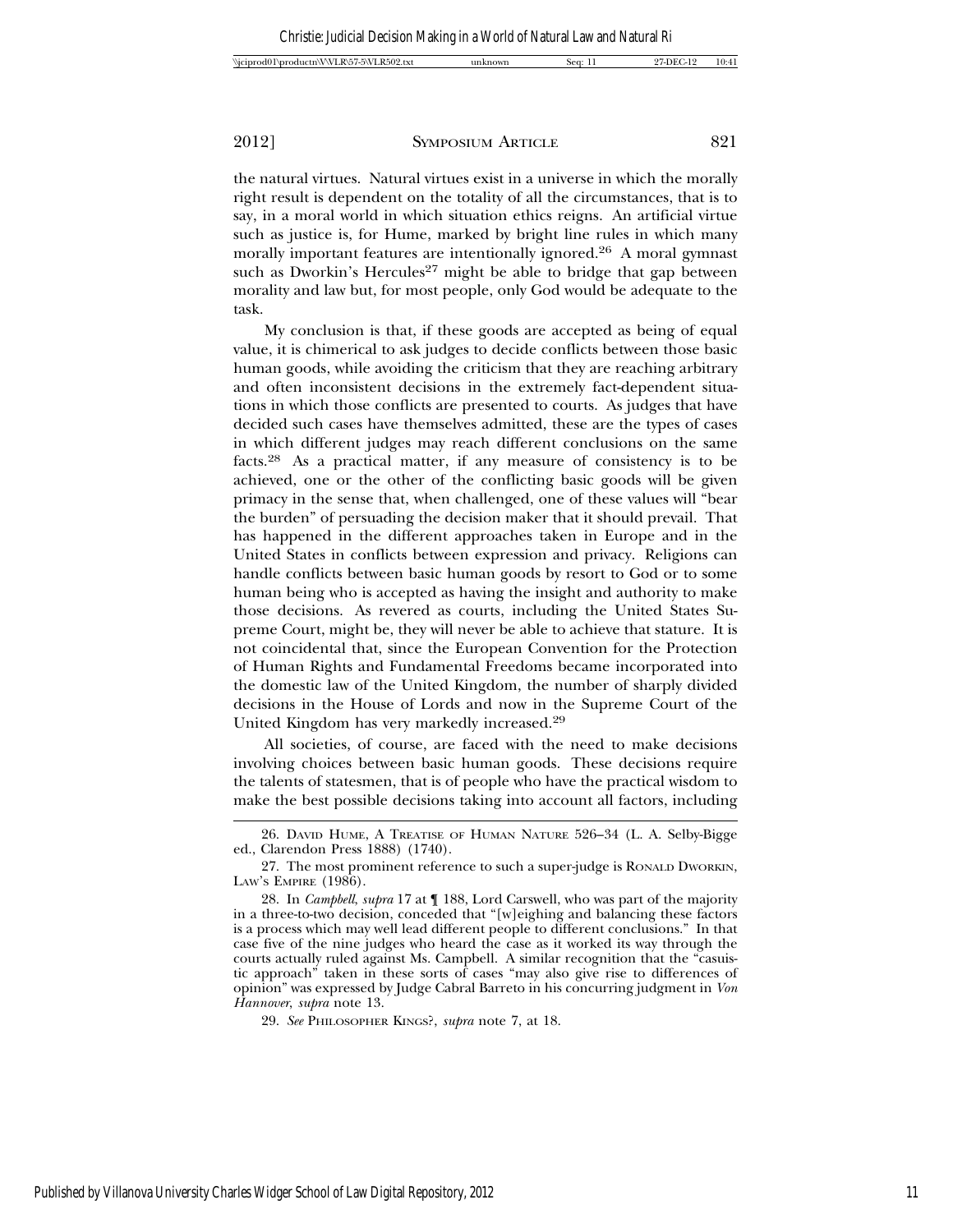| Wiciprod01\productn\VVLR\57-5\VLR502.txt | inknown | sec. | DE ( | 10:41 |
|------------------------------------------|---------|------|------|-------|
|------------------------------------------|---------|------|------|-------|

the natural virtues. Natural virtues exist in a universe in which the morally right result is dependent on the totality of all the circumstances, that is to say, in a moral world in which situation ethics reigns. An artificial virtue such as justice is, for Hume, marked by bright line rules in which many morally important features are intentionally ignored.26 A moral gymnast such as Dworkin's Hercules<sup>27</sup> might be able to bridge that gap between morality and law but, for most people, only God would be adequate to the task.

My conclusion is that, if these goods are accepted as being of equal value, it is chimerical to ask judges to decide conflicts between those basic human goods, while avoiding the criticism that they are reaching arbitrary and often inconsistent decisions in the extremely fact-dependent situations in which those conflicts are presented to courts. As judges that have decided such cases have themselves admitted, these are the types of cases in which different judges may reach different conclusions on the same facts.28 As a practical matter, if any measure of consistency is to be achieved, one or the other of the conflicting basic goods will be given primacy in the sense that, when challenged, one of these values will "bear the burden" of persuading the decision maker that it should prevail. That has happened in the different approaches taken in Europe and in the United States in conflicts between expression and privacy. Religions can handle conflicts between basic human goods by resort to God or to some human being who is accepted as having the insight and authority to make those decisions. As revered as courts, including the United States Supreme Court, might be, they will never be able to achieve that stature. It is not coincidental that, since the European Convention for the Protection of Human Rights and Fundamental Freedoms became incorporated into the domestic law of the United Kingdom, the number of sharply divided decisions in the House of Lords and now in the Supreme Court of the United Kingdom has very markedly increased.29

All societies, of course, are faced with the need to make decisions involving choices between basic human goods. These decisions require the talents of statesmen, that is of people who have the practical wisdom to make the best possible decisions taking into account all factors, including

<sup>26.</sup> DAVID HUME, A TREATISE OF HUMAN NATURE 526–34 (L. A. Selby-Bigge ed., Clarendon Press 1888) (1740).

<sup>27.</sup> The most prominent reference to such a super-judge is RONALD DWORKIN, LAW'S EMPIRE (1986).

<sup>28.</sup> In *Campbell*, *supra* 17 at ¶ 188, Lord Carswell, who was part of the majority in a three-to-two decision, conceded that "[w]eighing and balancing these factors is a process which may well lead different people to different conclusions." In that case five of the nine judges who heard the case as it worked its way through the courts actually ruled against Ms. Campbell. A similar recognition that the "casuistic approach" taken in these sorts of cases "may also give rise to differences of opinion" was expressed by Judge Cabral Barreto in his concurring judgment in *Von Hannover*, *supra* note 13.

<sup>29.</sup> *See* PHILOSOPHER KINGS?, *supra* note 7, at 18.